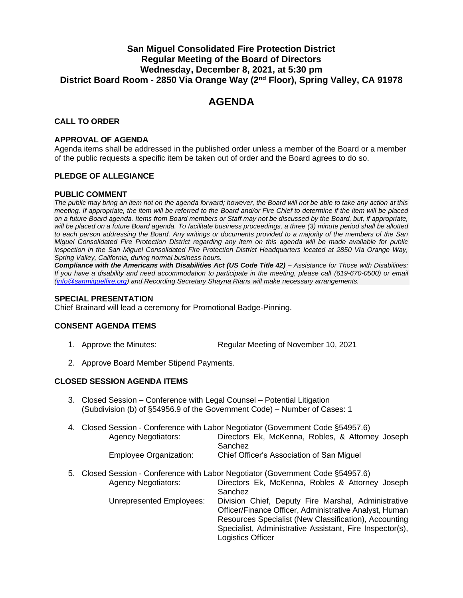## **San Miguel Consolidated Fire Protection District Regular Meeting of the Board of Directors Wednesday, December 8, 2021, at 5:30 pm District Board Room - 2850 Via Orange Way (2 nd Floor), Spring Valley, CA 91978**

# **AGENDA**

## **CALL TO ORDER**

#### **APPROVAL OF AGENDA**

Agenda items shall be addressed in the published order unless a member of the Board or a member of the public requests a specific item be taken out of order and the Board agrees to do so.

## **PLEDGE OF ALLEGIANCE**

#### **PUBLIC COMMENT**

*The public may bring an item not on the agenda forward; however, the Board will not be able to take any action at this meeting. If appropriate, the item will be referred to the Board and/or Fire Chief to determine if the item will be placed on a future Board agenda. Items from Board members or Staff may not be discussed by the Board, but, if appropriate,*  will be placed on a future Board agenda. To facilitate business proceedings, a three (3) minute period shall be allotted *to each person addressing the Board. Any writings or documents provided to a majority of the members of the San Miguel Consolidated Fire Protection District regarding any item on this agenda will be made available for public inspection in the San Miguel Consolidated Fire Protection District Headquarters located at 2850 Via Orange Way, Spring Valley, California, during normal business hours.* 

*Compliance with the Americans with Disabilities Act (US Code Title 42) – Assistance for Those with Disabilities: If you have a disability and need accommodation to participate in the meeting, please call (619-670-0500) or email [\(info@sanmiguelfire.org\)](mailto:info@sanmiguelfire.org) and Recording Secretary Shayna Rians will make necessary arrangements.*

#### **SPECIAL PRESENTATION**

Chief Brainard will lead a ceremony for Promotional Badge-Pinning.

## **CONSENT AGENDA ITEMS**

- 1. Approve the Minutes: Regular Meeting of November 10, 2021
- 2. Approve Board Member Stipend Payments.

## **CLOSED SESSION AGENDA ITEMS**

3. Closed Session – Conference with Legal Counsel – Potential Litigation (Subdivision (b) of §54956.9 of the Government Code) – Number of Cases: 1

|                            | 4. Closed Session - Conference with Labor Negotiator (Government Code §54957.6) |
|----------------------------|---------------------------------------------------------------------------------|
| <b>Agency Negotiators:</b> | Directors Ek, McKenna, Robles, & Attorney Joseph                                |
|                            | Sanchez                                                                         |
| Employee Organization:     | Chief Officer's Association of San Miquel                                       |

5. Closed Session - Conference with Labor Negotiator (Government Code §54957.6) Agency Negotiators: Directors Ek, McKenna, Robles & Attorney Joseph Sanchez Unrepresented Employees: Division Chief, Deputy Fire Marshal, Administrative Officer/Finance Officer, Administrative Analyst, Human Resources Specialist (New Classification), Accounting Specialist, Administrative Assistant, Fire Inspector(s), Logistics Officer